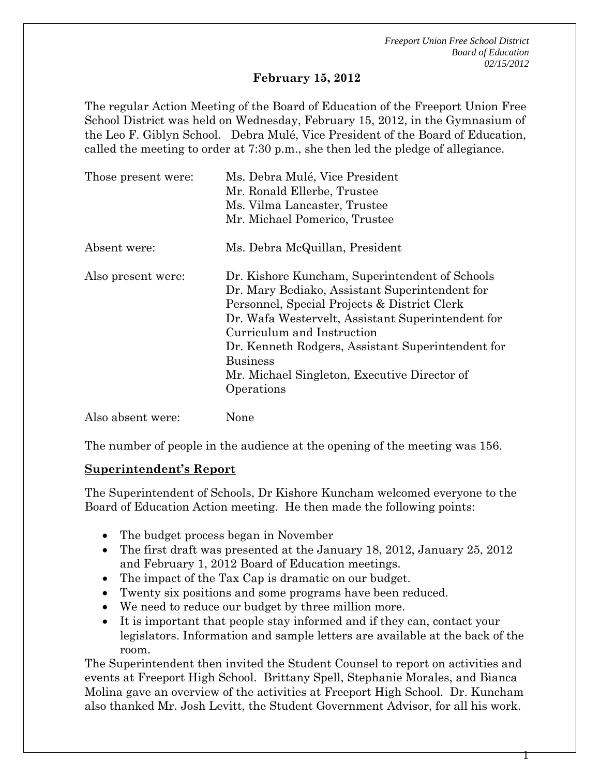#### **February 15, 2012**

The regular Action Meeting of the Board of Education of the Freeport Union Free School District was held on Wednesday, February 15, 2012, in the Gymnasium of the Leo F. Giblyn School. Debra Mulé, Vice President of the Board of Education, called the meeting to order at 7:30 p.m., she then led the pledge of allegiance.

| Those present were: | Ms. Debra Mulé, Vice President<br>Mr. Ronald Ellerbe, Trustee<br>Ms. Vilma Lancaster, Trustee                                                                                                                                                                                                                                                                             |
|---------------------|---------------------------------------------------------------------------------------------------------------------------------------------------------------------------------------------------------------------------------------------------------------------------------------------------------------------------------------------------------------------------|
|                     | Mr. Michael Pomerico, Trustee                                                                                                                                                                                                                                                                                                                                             |
| Absent were:        | Ms. Debra McQuillan, President                                                                                                                                                                                                                                                                                                                                            |
| Also present were:  | Dr. Kishore Kuncham, Superintendent of Schools<br>Dr. Mary Bediako, Assistant Superintendent for<br>Personnel, Special Projects & District Clerk<br>Dr. Wafa Westervelt, Assistant Superintendent for<br>Curriculum and Instruction<br>Dr. Kenneth Rodgers, Assistant Superintendent for<br><b>Business</b><br>Mr. Michael Singleton, Executive Director of<br>Operations |
| Also absent were:   | None                                                                                                                                                                                                                                                                                                                                                                      |

The number of people in the audience at the opening of the meeting was 156.

#### **Superintendent's Report**

The Superintendent of Schools, Dr Kishore Kuncham welcomed everyone to the Board of Education Action meeting. He then made the following points:

- The budget process began in November
- The first draft was presented at the January 18, 2012, January 25, 2012 and February 1, 2012 Board of Education meetings.
- The impact of the Tax Cap is dramatic on our budget.
- Twenty six positions and some programs have been reduced.
- We need to reduce our budget by three million more.
- It is important that people stay informed and if they can, contact your legislators. Information and sample letters are available at the back of the room.

The Superintendent then invited the Student Counsel to report on activities and events at Freeport High School. Brittany Spell, Stephanie Morales, and Bianca Molina gave an overview of the activities at Freeport High School. Dr. Kuncham also thanked Mr. Josh Levitt, the Student Government Advisor, for all his work.

Т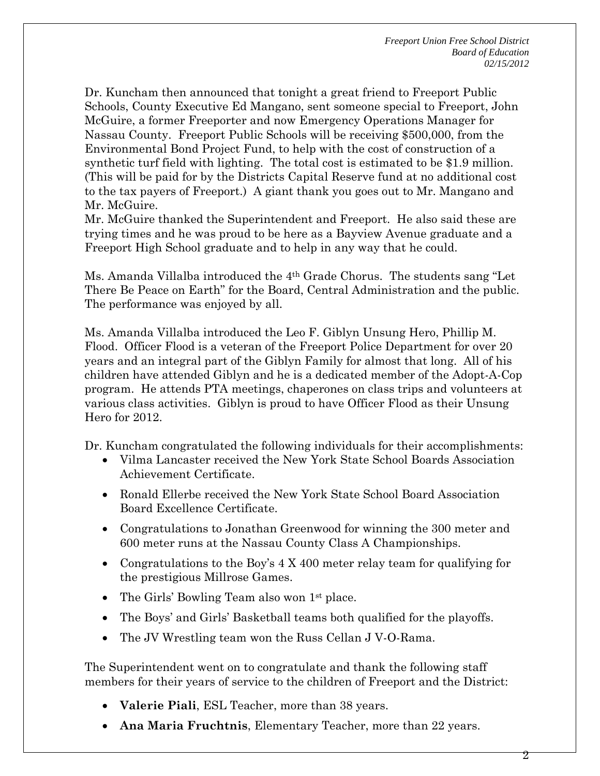Dr. Kuncham then announced that tonight a great friend to Freeport Public Schools, County Executive Ed Mangano, sent someone special to Freeport, John McGuire, a former Freeporter and now Emergency Operations Manager for Nassau County. Freeport Public Schools will be receiving \$500,000, from the Environmental Bond Project Fund, to help with the cost of construction of a synthetic turf field with lighting. The total cost is estimated to be \$1.9 million. (This will be paid for by the Districts Capital Reserve fund at no additional cost to the tax payers of Freeport.) A giant thank you goes out to Mr. Mangano and Mr. McGuire.

Mr. McGuire thanked the Superintendent and Freeport. He also said these are trying times and he was proud to be here as a Bayview Avenue graduate and a Freeport High School graduate and to help in any way that he could.

Ms. Amanda Villalba introduced the 4th Grade Chorus. The students sang "Let There Be Peace on Earth" for the Board, Central Administration and the public. The performance was enjoyed by all.

Ms. Amanda Villalba introduced the Leo F. Giblyn Unsung Hero, Phillip M. Flood. Officer Flood is a veteran of the Freeport Police Department for over 20 years and an integral part of the Giblyn Family for almost that long. All of his children have attended Giblyn and he is a dedicated member of the Adopt-A-Cop program. He attends PTA meetings, chaperones on class trips and volunteers at various class activities. Giblyn is proud to have Officer Flood as their Unsung Hero for 2012.

Dr. Kuncham congratulated the following individuals for their accomplishments:

- Vilma Lancaster received the New York State School Boards Association Achievement Certificate.
- Ronald Ellerbe received the New York State School Board Association Board Excellence Certificate.
- Congratulations to Jonathan Greenwood for winning the 300 meter and 600 meter runs at the Nassau County Class A Championships.
- Congratulations to the Boy's 4 X 400 meter relay team for qualifying for the prestigious Millrose Games.
- The Girls' Bowling Team also won 1st place.
- The Boys' and Girls' Basketball teams both qualified for the playoffs.
- The JV Wrestling team won the Russ Cellan J V-O-Rama.

The Superintendent went on to congratulate and thank the following staff members for their years of service to the children of Freeport and the District:

- **Valerie Piali**, ESL Teacher, more than 38 years.
- **Ana Maria Fruchtnis**, Elementary Teacher, more than 22 years.

2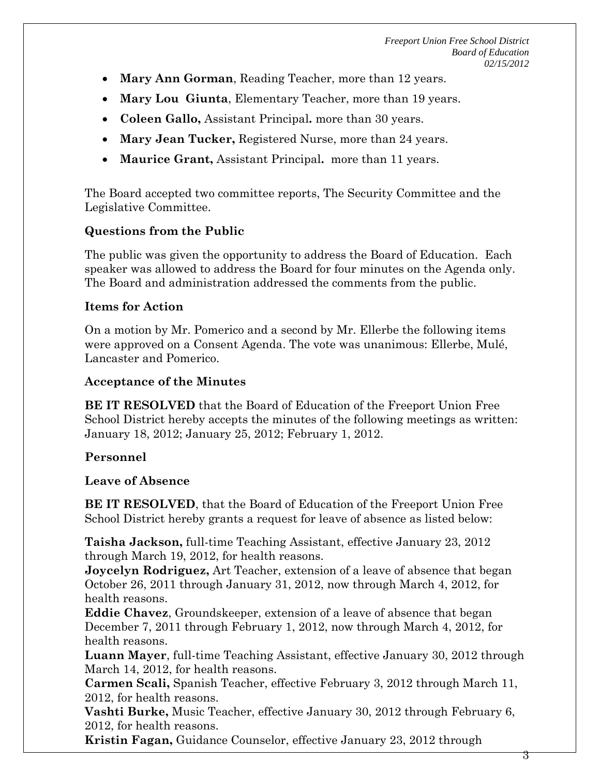- **Mary Ann Gorman**, Reading Teacher, more than 12 years.
- **Mary Lou Giunta**, Elementary Teacher, more than 19 years.
- **Coleen Gallo,** Assistant Principal**.** more than 30 years.
- **Mary Jean Tucker,** Registered Nurse, more than 24 years.
- **Maurice Grant,** Assistant Principal**.** more than 11 years.

The Board accepted two committee reports, The Security Committee and the Legislative Committee.

## **Questions from the Public**

The public was given the opportunity to address the Board of Education. Each speaker was allowed to address the Board for four minutes on the Agenda only. The Board and administration addressed the comments from the public.

### **Items for Action**

On a motion by Mr. Pomerico and a second by Mr. Ellerbe the following items were approved on a Consent Agenda. The vote was unanimous: Ellerbe, Mulé, Lancaster and Pomerico.

## **Acceptance of the Minutes**

**BE IT RESOLVED** that the Board of Education of the Freeport Union Free School District hereby accepts the minutes of the following meetings as written: January 18, 2012; January 25, 2012; February 1, 2012.

### **Personnel**

### **Leave of Absence**

**BE IT RESOLVED**, that the Board of Education of the Freeport Union Free School District hereby grants a request for leave of absence as listed below:

**Taisha Jackson,** full-time Teaching Assistant, effective January 23, 2012 through March 19, 2012, for health reasons.

**Joycelyn Rodriguez,** Art Teacher, extension of a leave of absence that began October 26, 2011 through January 31, 2012, now through March 4, 2012, for health reasons.

**Eddie Chavez**, Groundskeeper, extension of a leave of absence that began December 7, 2011 through February 1, 2012, now through March 4, 2012, for health reasons.

**Luann Mayer**, full-time Teaching Assistant, effective January 30, 2012 through March 14, 2012, for health reasons.

**Carmen Scali,** Spanish Teacher, effective February 3, 2012 through March 11, 2012, for health reasons.

**Vashti Burke,** Music Teacher, effective January 30, 2012 through February 6, 2012, for health reasons.

**Kristin Fagan,** Guidance Counselor, effective January 23, 2012 through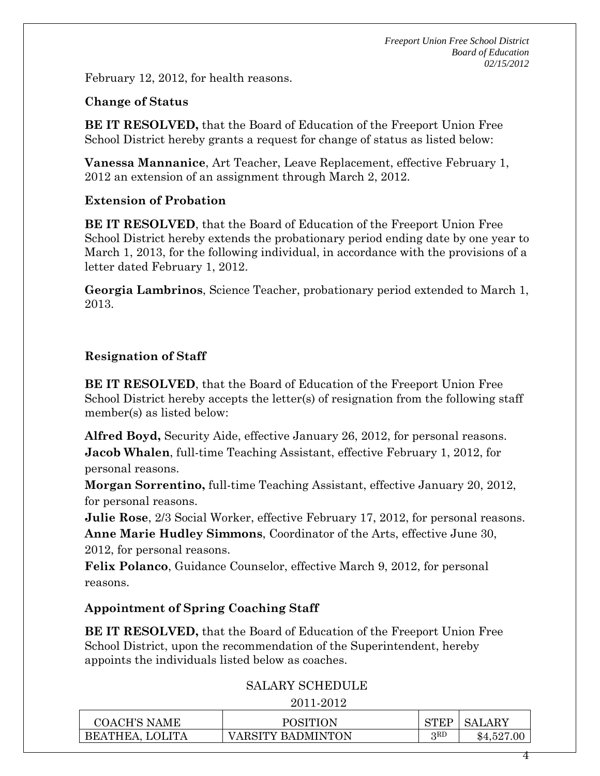February 12, 2012, for health reasons.

#### **Change of Status**

**BE IT RESOLVED,** that the Board of Education of the Freeport Union Free School District hereby grants a request for change of status as listed below:

**Vanessa Mannanice**, Art Teacher, Leave Replacement, effective February 1, 2012 an extension of an assignment through March 2, 2012.

#### **Extension of Probation**

**BE IT RESOLVED**, that the Board of Education of the Freeport Union Free School District hereby extends the probationary period ending date by one year to March 1, 2013, for the following individual, in accordance with the provisions of a letter dated February 1, 2012.

**Georgia Lambrinos**, Science Teacher, probationary period extended to March 1, 2013.

### **Resignation of Staff**

**BE IT RESOLVED**, that the Board of Education of the Freeport Union Free School District hereby accepts the letter(s) of resignation from the following staff member(s) as listed below:

**Alfred Boyd,** Security Aide, effective January 26, 2012, for personal reasons. **Jacob Whalen**, full-time Teaching Assistant, effective February 1, 2012, for personal reasons.

**Morgan Sorrentino,** full-time Teaching Assistant, effective January 20, 2012, for personal reasons.

**Julie Rose**, 2/3 Social Worker, effective February 17, 2012, for personal reasons. **Anne Marie Hudley Simmons**, Coordinator of the Arts, effective June 30, 2012, for personal reasons.

**Felix Polanco**, Guidance Counselor, effective March 9, 2012, for personal reasons.

### **Appointment of Spring Coaching Staff**

**BE IT RESOLVED,** that the Board of Education of the Freeport Union Free School District, upon the recommendation of the Superintendent, hereby appoints the individuals listed below as coaches.

### SALARY SCHEDULE

2011-2012

| COACH'S NAME    | POSITION          | <b>CTIPD</b> | <b>SALARY</b> |
|-----------------|-------------------|--------------|---------------|
| BEATHEA, LOLITA | VARSITY BADMINTON | จุRD         | \$4,527.00    |

4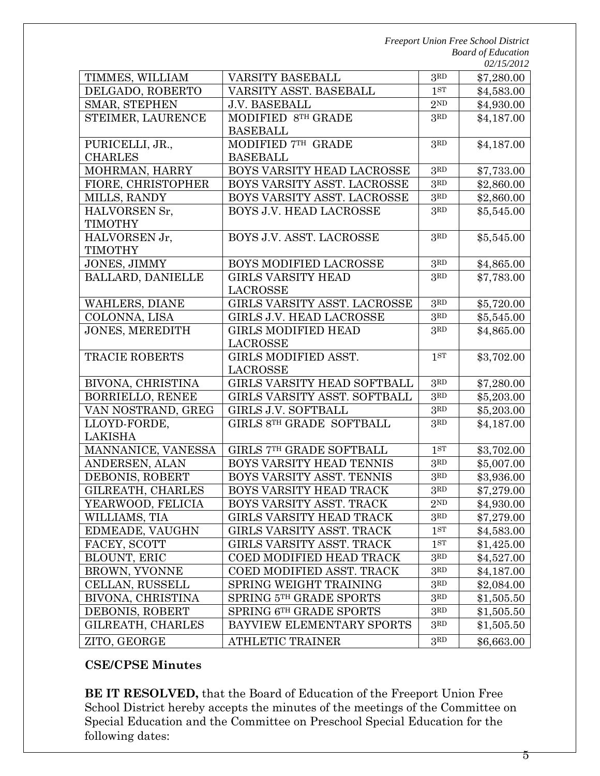|                          |                                 |                                | <i><u>02/13/2012</u></i> |
|--------------------------|---------------------------------|--------------------------------|--------------------------|
| TIMMES, WILLIAM          | VARSITY BASEBALL                | 3RD                            | \$7,280.00               |
| DELGADO, ROBERTO         | VARSITY ASST. BASEBALL          |                                | \$4,583.00               |
| SMAR, STEPHEN            | <b>J.V. BASEBALL</b>            |                                | \$4,930.00               |
| STEIMER, LAURENCE        | MODIFIED 8TH GRADE              | 3RD                            | \$4,187.00               |
|                          | <b>BASEBALL</b>                 |                                |                          |
| PURICELLI, JR.,          | MODIFIED 7TH GRADE              | 3RD                            | \$4,187.00               |
| <b>CHARLES</b>           | <b>BASEBALL</b>                 |                                |                          |
| MOHRMAN, HARRY           | BOYS VARSITY HEAD LACROSSE      | 3 <sup>RD</sup>                | \$7,733.00               |
| FIORE, CHRISTOPHER       | BOYS VARSITY ASST. LACROSSE     | 3 <sub>RD</sub>                | \$2,860.00               |
| MILLS, RANDY             | BOYS VARSITY ASST. LACROSSE     | 3RD                            | \$2,860.00               |
| HALVORSEN Sr,            | BOYS J.V. HEAD LACROSSE         | 3RD                            | \$5,545.00               |
| <b>TIMOTHY</b>           |                                 |                                |                          |
| HALVORSEN Jr,            | BOYS J.V. ASST. LACROSSE        | 3RD                            | \$5,545.00               |
| <b>TIMOTHY</b>           |                                 |                                |                          |
| <b>JONES, JIMMY</b>      | BOYS MODIFIED LACROSSE          | 3 <sup>RD</sup>                | \$4,865.00               |
| <b>BALLARD, DANIELLE</b> | <b>GIRLS VARSITY HEAD</b>       | 3RD                            | \$7,783.00               |
|                          | <b>LACROSSE</b>                 |                                |                          |
| <b>WAHLERS, DIANE</b>    | GIRLS VARSITY ASST. LACROSSE    | 3 <sub>RD</sub>                | \$5,720.00               |
| COLONNA, LISA            | <b>GIRLS J.V. HEAD LACROSSE</b> | 3 <sub>RD</sub>                | \$5,545.00               |
| <b>JONES, MEREDITH</b>   | <b>GIRLS MODIFIED HEAD</b>      | 3RD                            | \$4,865.00               |
|                          | LACROSSE                        |                                |                          |
| <b>TRACIE ROBERTS</b>    | GIRLS MODIFIED ASST.            | 1 <sub>ST</sub>                | \$3,702.00               |
|                          | LACROSSE                        |                                |                          |
| BIVONA, CHRISTINA        | GIRLS VARSITY HEAD SOFTBALL     | 3 <sup>RD</sup>                | \$7,280.00               |
| <b>BORRIELLO, RENEE</b>  | GIRLS VARSITY ASST. SOFTBALL    | 3RD                            | \$5,203.00               |
| VAN NOSTRAND, GREG       | GIRLS J.V. SOFTBALL             | 3RD                            | \$5,203.00               |
| LLOYD-FORDE,             | GIRLS 8TH GRADE SOFTBALL        | 3RD                            | \$4,187.00               |
| LAKISHA                  |                                 |                                |                          |
| MANNANICE, VANESSA       | GIRLS 7TH GRADE SOFTBALL        | 1 <sub>ST</sub>                | \$3,702.00               |
| ANDERSEN, ALAN           | BOYS VARSITY HEAD TENNIS        | 3 <sub>RD</sub>                | \$5,007.00               |
| DEBONIS, ROBERT          | BOYS VARSITY ASST. TENNIS       | 3RD                            | \$3,936.00               |
| GILREATH, CHARLES        | BOYS VARSITY HEAD TRACK         | 3 <sup>RD</sup>                | \$7,279.00               |
| YEARWOOD, FELICIA        | BOYS VARSITY ASST. TRACK        | $2^{\rm ND}$                   | \$4,930.00               |
| WILLIAMS, TIA            | <b>GIRLS VARSITY HEAD TRACK</b> | 3 <sup>RD</sup>                | \$7,279.00               |
| EDMEADE, VAUGHN          | GIRLS VARSITY ASST. TRACK       | 1 <sup>ST</sup>                | \$4,583.00               |
| FACEY, SCOTT             | GIRLS VARSITY ASST. TRACK       | 1 <sup>ST</sup>                | \$1,425.00               |
| <b>BLOUNT, ERIC</b>      | <b>COED MODIFIED HEAD TRACK</b> | 3 <sup>RD</sup>                | \$4,527.00               |
| <b>BROWN, YVONNE</b>     | COED MODIFIED ASST. TRACK       | 3 <sup>RD</sup>                | \$4,187.00               |
| CELLAN, RUSSELL          | SPRING WEIGHT TRAINING          | $3^{\scriptstyle \mathrm{RD}}$ | \$2,084.00               |
| BIVONA, CHRISTINA        | SPRING 5TH GRADE SPORTS         | $3^{\scriptstyle \mathrm{RD}}$ | \$1,505.50               |
| DEBONIS, ROBERT          | SPRING 6TH GRADE SPORTS         | 3 <sup>RD</sup>                | \$1,505.50               |
| GILREATH, CHARLES        | BAYVIEW ELEMENTARY SPORTS       | 3RD                            | \$1,505.50               |
|                          | <b>ATHLETIC TRAINER</b>         | 3 <sub>RD</sub>                |                          |
| ZITO, GEORGE             |                                 |                                | \$6,663.00               |

# **CSE/CPSE Minutes**

**BE IT RESOLVED,** that the Board of Education of the Freeport Union Free School District hereby accepts the minutes of the meetings of the Committee on Special Education and the Committee on Preschool Special Education for the following dates:

5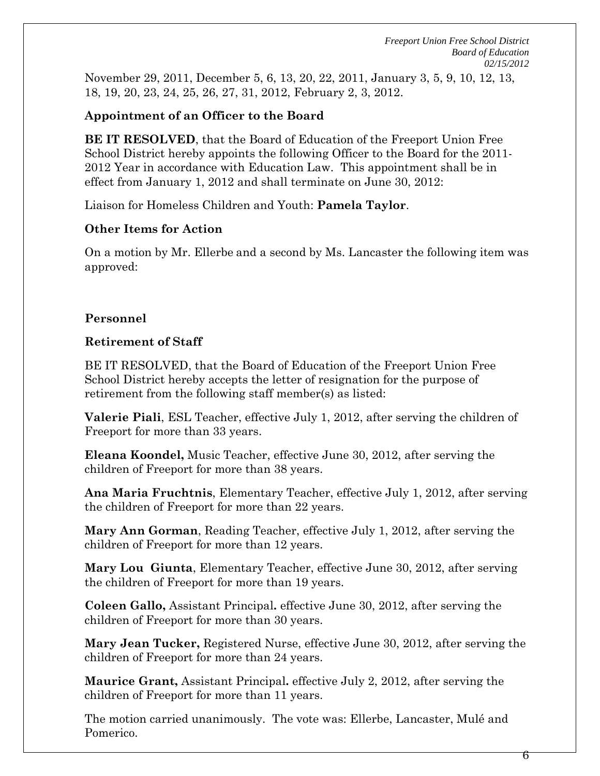November 29, 2011, December 5, 6, 13, 20, 22, 2011, January 3, 5, 9, 10, 12, 13, 18, 19, 20, 23, 24, 25, 26, 27, 31, 2012, February 2, 3, 2012.

## **Appointment of an Officer to the Board**

**BE IT RESOLVED**, that the Board of Education of the Freeport Union Free School District hereby appoints the following Officer to the Board for the 2011- 2012 Year in accordance with Education Law. This appointment shall be in effect from January 1, 2012 and shall terminate on June 30, 2012:

Liaison for Homeless Children and Youth: **Pamela Taylor**.

### **Other Items for Action**

On a motion by Mr. Ellerbe and a second by Ms. Lancaster the following item was approved:

### **Personnel**

### **Retirement of Staff**

BE IT RESOLVED, that the Board of Education of the Freeport Union Free School District hereby accepts the letter of resignation for the purpose of retirement from the following staff member(s) as listed:

**Valerie Piali**, ESL Teacher, effective July 1, 2012, after serving the children of Freeport for more than 33 years.

**Eleana Koondel,** Music Teacher, effective June 30, 2012, after serving the children of Freeport for more than 38 years.

**Ana Maria Fruchtnis**, Elementary Teacher, effective July 1, 2012, after serving the children of Freeport for more than 22 years.

**Mary Ann Gorman**, Reading Teacher, effective July 1, 2012, after serving the children of Freeport for more than 12 years.

**Mary Lou Giunta**, Elementary Teacher, effective June 30, 2012, after serving the children of Freeport for more than 19 years.

**Coleen Gallo,** Assistant Principal**.** effective June 30, 2012, after serving the children of Freeport for more than 30 years.

**Mary Jean Tucker,** Registered Nurse, effective June 30, 2012, after serving the children of Freeport for more than 24 years.

**Maurice Grant,** Assistant Principal**.** effective July 2, 2012, after serving the children of Freeport for more than 11 years.

The motion carried unanimously. The vote was: Ellerbe, Lancaster, Mulé and Pomerico.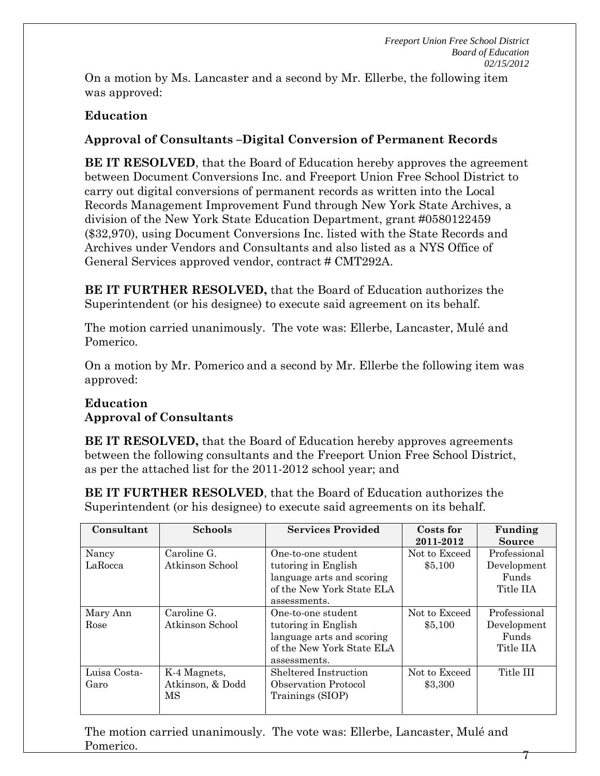7

On a motion by Ms. Lancaster and a second by Mr. Ellerbe, the following item was approved:

# **Education**

# **Approval of Consultants –Digital Conversion of Permanent Records**

**BE IT RESOLVED**, that the Board of Education hereby approves the agreement between Document Conversions Inc. and Freeport Union Free School District to carry out digital conversions of permanent records as written into the Local Records Management Improvement Fund through New York State Archives, a division of the New York State Education Department, grant #0580122459 (\$32,970), using Document Conversions Inc. listed with the State Records and Archives under Vendors and Consultants and also listed as a NYS Office of General Services approved vendor, contract # CMT292A.

**BE IT FURTHER RESOLVED,** that the Board of Education authorizes the Superintendent (or his designee) to execute said agreement on its behalf.

The motion carried unanimously. The vote was: Ellerbe, Lancaster, Mulé and Pomerico.

On a motion by Mr. Pomerico and a second by Mr. Ellerbe the following item was approved:

# **Education Approval of Consultants**

**BE IT RESOLVED,** that the Board of Education hereby approves agreements between the following consultants and the Freeport Union Free School District, as per the attached list for the 2011-2012 school year; and

**BE IT FURTHER RESOLVED**, that the Board of Education authorizes the Superintendent (or his designee) to execute said agreements on its behalf.

| Consultant           | <b>Schools</b>                         | <b>Services Provided</b>                                                                                            | Costs for<br>2011-2012   | Funding<br><b>Source</b>                          |
|----------------------|----------------------------------------|---------------------------------------------------------------------------------------------------------------------|--------------------------|---------------------------------------------------|
| Nancy<br>LaRocca     | Caroline G.<br>Atkinson School         | One-to-one student<br>tutoring in English<br>language arts and scoring<br>of the New York State ELA<br>assessments. | Not to Exceed<br>\$5,100 | Professional<br>Development<br>Funds<br>Title IIA |
| Mary Ann<br>Rose     | Caroline G.<br>Atkinson School         | One-to-one student<br>tutoring in English<br>language arts and scoring<br>of the New York State ELA<br>assessments. | Not to Exceed<br>\$5,100 | Professional<br>Development<br>Funds<br>Title IIA |
| Luisa Costa-<br>Garo | K-4 Magnets,<br>Atkinson, & Dodd<br>MS | Sheltered Instruction<br><b>Observation Protocol</b><br>Trainings (SIOP)                                            | Not to Exceed<br>\$3,300 | Title III                                         |

The motion carried unanimously. The vote was: Ellerbe, Lancaster, Mulé and Pomerico.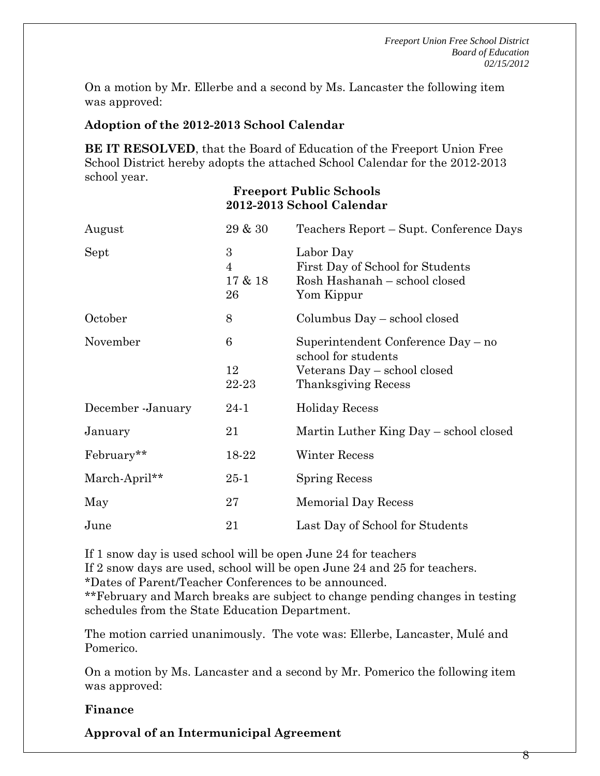On a motion by Mr. Ellerbe and a second by Ms. Lancaster the following item was approved:

#### **Adoption of the 2012-2013 School Calendar**

**BE IT RESOLVED**, that the Board of Education of the Freeport Union Free School District hereby adopts the attached School Calendar for the 2012-2013 school year.

#### **Freeport Public Schools 2012-2013 School Calendar**

| August             | 29 & 30                              | Teachers Report – Supt. Conference Days                                                                          |
|--------------------|--------------------------------------|------------------------------------------------------------------------------------------------------------------|
| Sept               | 3<br>$\overline{4}$<br>17 & 18<br>26 | Labor Day<br>First Day of School for Students<br>Rosh Hashanah – school closed<br>Yom Kippur                     |
| October            | 8                                    | Columbus Day – school closed                                                                                     |
| November           | 6<br>12<br>22-23                     | Superintendent Conference Day – no<br>school for students<br>Veterans Day - school closed<br>Thanksgiving Recess |
| December - January | 24-1                                 | <b>Holiday Recess</b>                                                                                            |
| January            | 21                                   | Martin Luther King Day – school closed                                                                           |
| February**         | 18-22                                | Winter Recess                                                                                                    |
| March-April**      | $25 - 1$                             | <b>Spring Recess</b>                                                                                             |
| May                | 27                                   | <b>Memorial Day Recess</b>                                                                                       |
| June               | 21                                   | Last Day of School for Students                                                                                  |

If 1 snow day is used school will be open June 24 for teachers

If 2 snow days are used, school will be open June 24 and 25 for teachers.

\*Dates of Parent/Teacher Conferences to be announced.

\*\*February and March breaks are subject to change pending changes in testing schedules from the State Education Department.

The motion carried unanimously. The vote was: Ellerbe, Lancaster, Mulé and Pomerico.

On a motion by Ms. Lancaster and a second by Mr. Pomerico the following item was approved:

#### **Finance**

**Approval of an Intermunicipal Agreement**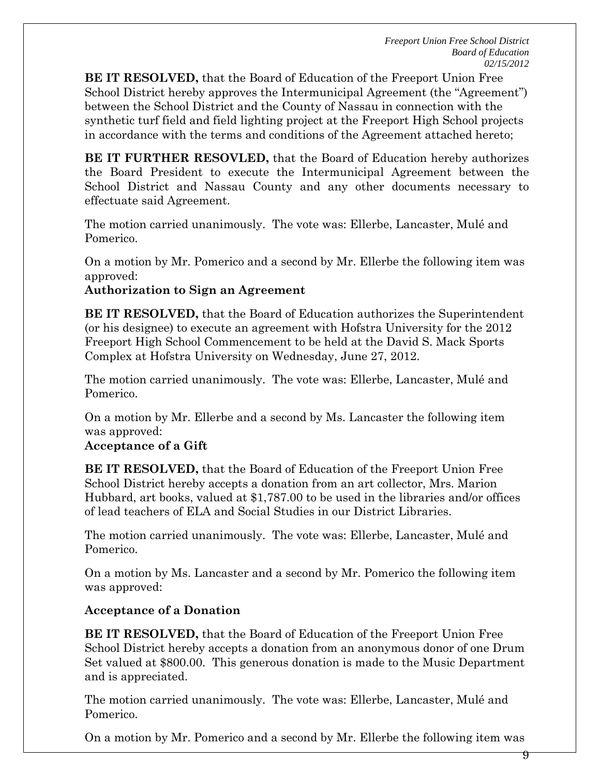**BE IT RESOLVED,** that the Board of Education of the Freeport Union Free School District hereby approves the Intermunicipal Agreement (the "Agreement") between the School District and the County of Nassau in connection with the synthetic turf field and field lighting project at the Freeport High School projects in accordance with the terms and conditions of the Agreement attached hereto;

**BE IT FURTHER RESOVLED,** that the Board of Education hereby authorizes the Board President to execute the Intermunicipal Agreement between the School District and Nassau County and any other documents necessary to effectuate said Agreement.

The motion carried unanimously. The vote was: Ellerbe, Lancaster, Mulé and Pomerico.

On a motion by Mr. Pomerico and a second by Mr. Ellerbe the following item was approved:

**Authorization to Sign an Agreement** 

**BE IT RESOLVED,** that the Board of Education authorizes the Superintendent (or his designee) to execute an agreement with Hofstra University for the 2012 Freeport High School Commencement to be held at the David S. Mack Sports Complex at Hofstra University on Wednesday, June 27, 2012.

The motion carried unanimously. The vote was: Ellerbe, Lancaster, Mulé and Pomerico.

On a motion by Mr. Ellerbe and a second by Ms. Lancaster the following item was approved:

### **Acceptance of a Gift**

**BE IT RESOLVED,** that the Board of Education of the Freeport Union Free School District hereby accepts a donation from an art collector, Mrs. Marion Hubbard, art books, valued at \$1,787.00 to be used in the libraries and/or offices of lead teachers of ELA and Social Studies in our District Libraries.

The motion carried unanimously. The vote was: Ellerbe, Lancaster, Mulé and Pomerico.

On a motion by Ms. Lancaster and a second by Mr. Pomerico the following item was approved:

## **Acceptance of a Donation**

**BE IT RESOLVED,** that the Board of Education of the Freeport Union Free School District hereby accepts a donation from an anonymous donor of one Drum Set valued at \$800.00. This generous donation is made to the Music Department and is appreciated.

The motion carried unanimously. The vote was: Ellerbe, Lancaster, Mulé and Pomerico.

On a motion by Mr. Pomerico and a second by Mr. Ellerbe the following item was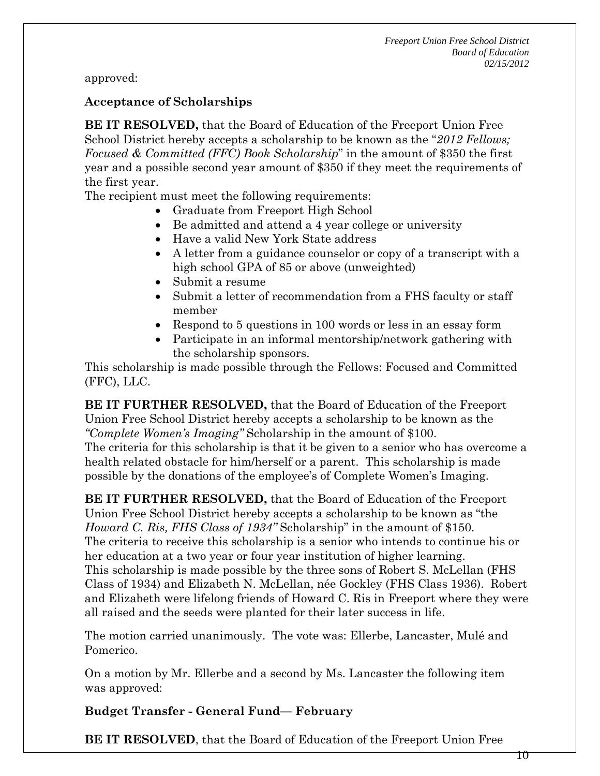approved:

### **Acceptance of Scholarships**

**BE IT RESOLVED,** that the Board of Education of the Freeport Union Free School District hereby accepts a scholarship to be known as the "*2012 Fellows; Focused & Committed (FFC) Book Scholarship*" in the amount of \$350 the first year and a possible second year amount of \$350 if they meet the requirements of the first year.

The recipient must meet the following requirements:

- Graduate from Freeport High School
- Be admitted and attend a 4 year college or university
- Have a valid New York State address
- A letter from a guidance counselor or copy of a transcript with a high school GPA of 85 or above (unweighted)
- Submit a resume
- Submit a letter of recommendation from a FHS faculty or staff member
- Respond to 5 questions in 100 words or less in an essay form
- Participate in an informal mentorship/network gathering with the scholarship sponsors.

This scholarship is made possible through the Fellows: Focused and Committed (FFC), LLC.

**BE IT FURTHER RESOLVED,** that the Board of Education of the Freeport Union Free School District hereby accepts a scholarship to be known as the *"Complete Women's Imaging"* Scholarship in the amount of \$100. The criteria for this scholarship is that it be given to a senior who has overcome a health related obstacle for him/herself or a parent. This scholarship is made possible by the donations of the employee's of Complete Women's Imaging.

**BE IT FURTHER RESOLVED,** that the Board of Education of the Freeport Union Free School District hereby accepts a scholarship to be known as "the *Howard C. Ris, FHS Class of 1934"* Scholarship" in the amount of \$150. The criteria to receive this scholarship is a senior who intends to continue his or her education at a two year or four year institution of higher learning. This scholarship is made possible by the three sons of Robert S. McLellan (FHS Class of 1934) and Elizabeth N. McLellan, née Gockley (FHS Class 1936). Robert and Elizabeth were lifelong friends of Howard C. Ris in Freeport where they were all raised and the seeds were planted for their later success in life.

The motion carried unanimously. The vote was: Ellerbe, Lancaster, Mulé and Pomerico.

On a motion by Mr. Ellerbe and a second by Ms. Lancaster the following item was approved:

**Budget Transfer - General Fund— February** 

**BE IT RESOLVED**, that the Board of Education of the Freeport Union Free